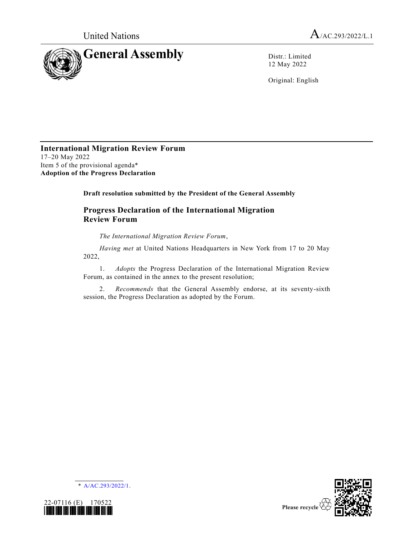

12 May 2022

Original: English

#### **International Migration Review Forum** 17–20 May 2022 Item 5 of the provisional agenda\* **Adoption of the Progress Declaration**

**Draft resolution submitted by the President of the General Assembly**

# **Progress Declaration of the International Migration Review Forum**

*The International Migration Review Forum*,

*Having met* at United Nations Headquarters in New York from 17 to 20 May 2022,

1. *Adopts* the Progress Declaration of the International Migration Review Forum, as contained in the annex to the present resolution;

2. *Recommends* that the General Assembly endorse, at its seventy-sixth session, the Progress Declaration as adopted by the Forum.





\* [A/AC.293/2022/1.](https://undocs.org/en/A/AC.293/2022/1)

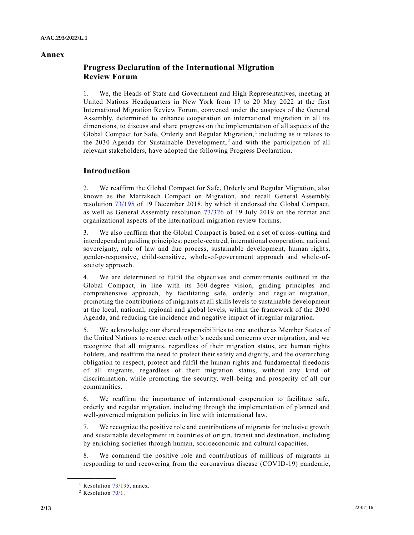#### **Annex**

# **Progress Declaration of the International Migration Review Forum**

1. We, the Heads of State and Government and High Representatives, meeting at United Nations Headquarters in New York from 17 to 20 May 2022 at the first International Migration Review Forum, convened under the auspices of the General Assembly, determined to enhance cooperation on international migration in all its dimensions, to discuss and share progress on the implementation of all aspects of the Global Compact for Safe, Orderly and Regular Migration,<sup>1</sup> including as it relates to the 2030 Agenda for Sustainable Development,<sup>2</sup> and with the participation of all relevant stakeholders, have adopted the following Progress Declaration.

## **Introduction**

2. We reaffirm the Global Compact for Safe, Orderly and Regular Migration, also known as the Marrakech Compact on Migration, and recall General Assembly resolution [73/195](https://undocs.org/en/A/RES/73/195) of 19 December 2018, by which it endorsed the Global Compact, as well as General Assembly resolution [73/326](https://undocs.org/en/A/RES/73/326) of 19 July 2019 on the format and organizational aspects of the international migration review forums.

3. We also reaffirm that the Global Compact is based on a set of cross-cutting and interdependent guiding principles: people-centred, international cooperation, national sovereignty, rule of law and due process, sustainable development, human rights, gender-responsive, child-sensitive, whole-of-government approach and whole-ofsociety approach.

4. We are determined to fulfil the objectives and commitments outlined in the Global Compact, in line with its 360-degree vision, guiding principles and comprehensive approach, by facilitating safe, orderly and regular migration, promoting the contributions of migrants at all skills levels to sustainable development at the local, national, regional and global levels, within the framework of the 2030 Agenda, and reducing the incidence and negative impact of irregular migration.

5. We acknowledge our shared responsibilities to one another as Member States of the United Nations to respect each other's needs and concerns over migration, and we recognize that all migrants, regardless of their migration status, are human rights holders, and reaffirm the need to protect their safety and dignity, and the overarching obligation to respect, protect and fulfil the human rights and fundamental freedoms of all migrants, regardless of their migration status, without any kind of discrimination, while promoting the security, well-being and prosperity of all our communities.

6. We reaffirm the importance of international cooperation to facilitate safe, orderly and regular migration, including through the implementation of planned and well-governed migration policies in line with international law.

7. We recognize the positive role and contributions of migrants for inclusive growth and sustainable development in countries of origin, transit and destination, including by enriching societies through human, socioeconomic and cultural capacities.

8. We commend the positive role and contributions of millions of migrants in responding to and recovering from the coronavirus disease (COVID-19) pandemic,

<sup>&</sup>lt;sup>1</sup> Resolution  $73/195$ , annex.

<sup>2</sup> Resolution [70/1.](https://undocs.org/en/A/RES/70/1)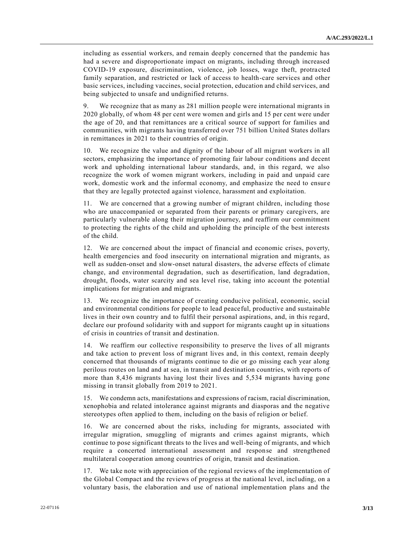including as essential workers, and remain deeply concerned that the pandemic has had a severe and disproportionate impact on migrants, including through increased COVID-19 exposure, discrimination, violence, job losses, wage theft, protra cted family separation, and restricted or lack of access to health-care services and other basic services, including vaccines, social protection, education and child services, and being subjected to unsafe and undignified returns.

9. We recognize that as many as 281 million people were international migrants in 2020 globally, of whom 48 per cent were women and girls and 15 per cent were under the age of 20, and that remittances are a critical source of support for families and communities, with migrants having transferred over 751 billion United States dollars in remittances in 2021 to their countries of origin.

10. We recognize the value and dignity of the labour of all migrant workers in all sectors, emphasizing the importance of promoting fair labour conditions and decent work and upholding international labour standards, and, in this regard, we also recognize the work of women migrant workers, including in paid and unpaid care work, domestic work and the informal economy, and emphasize the need to ensure that they are legally protected against violence, harassment and exploitation.

11. We are concerned that a growing number of migrant children, including those who are unaccompanied or separated from their parents or primary caregivers, are particularly vulnerable along their migration journey, and reaffirm our commitment to protecting the rights of the child and upholding the principle of the best interests of the child.

12. We are concerned about the impact of financial and economic crises, poverty, health emergencies and food insecurity on international migration and migrants, as well as sudden-onset and slow-onset natural disasters, the adverse effects of climate change, and environmental degradation, such as desertification, land degradation, drought, floods, water scarcity and sea level rise, taking into account the potential implications for migration and migrants.

13. We recognize the importance of creating conducive political, economic, social and environmental conditions for people to lead peaceful, productive and sustainable lives in their own country and to fulfil their personal aspirations, and, in this regard, declare our profound solidarity with and support for migrants caught up in situations of crisis in countries of transit and destination.

14. We reaffirm our collective responsibility to preserve the lives of all migrants and take action to prevent loss of migrant lives and, in this context, remain deeply concerned that thousands of migrants continue to die or go missing each year along perilous routes on land and at sea, in transit and destination countries, with reports of more than 8,436 migrants having lost their lives and 5,534 migrants having gone missing in transit globally from 2019 to 2021.

15. We condemn acts, manifestations and expressions of racism, racial discrimination, xenophobia and related intolerance against migrants and diasporas and the negative stereotypes often applied to them, including on the basis of religion or belief.

16. We are concerned about the risks, including for migrants, associated with irregular migration, smuggling of migrants and crimes against migrants, which continue to pose significant threats to the lives and well-being of migrants, and which require a concerted international assessment and response and strengthened multilateral cooperation among countries of origin, transit and destination.

17. We take note with appreciation of the regional reviews of the implementation of the Global Compact and the reviews of progress at the national level, including, on a voluntary basis, the elaboration and use of national implementation plans and the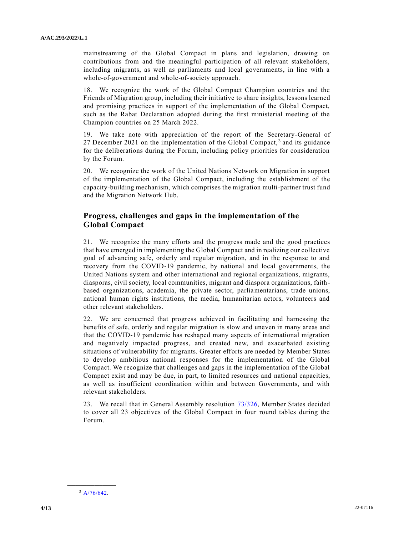mainstreaming of the Global Compact in plans and legislation, drawing on contributions from and the meaningful participation of all relevant stakeholders, including migrants, as well as parliaments and local governments, in line with a whole-of-government and whole-of-society approach.

18. We recognize the work of the Global Compact Champion countries and the Friends of Migration group, including their initiative to share insights, lessons learned and promising practices in support of the implementation of the Global Compact, such as the Rabat Declaration adopted during the first ministerial meeting of the Champion countries on 25 March 2022.

19. We take note with appreciation of the report of the Secretary-General of 27 December 2021 on the implementation of the Global Compact,<sup>3</sup> and its guidance for the deliberations during the Forum, including policy priorities for consideration by the Forum.

20. We recognize the work of the United Nations Network on Migration in support of the implementation of the Global Compact, including the establishment of the capacity-building mechanism, which comprises the migration multi-partner trust fund and the Migration Network Hub.

### **Progress, challenges and gaps in the implementation of the Global Compact**

21. We recognize the many efforts and the progress made and the good practices that have emerged in implementing the Global Compact and in realizing our collective goal of advancing safe, orderly and regular migration, and in the response to and recovery from the COVID-19 pandemic, by national and local governments, the United Nations system and other international and regional organizations, migrants, diasporas, civil society, local communities, migrant and diaspora organizations, faith based organizations, academia, the private sector, parliamentarians, trade unions, national human rights institutions, the media, humanitarian actors, volunteers and other relevant stakeholders.

22. We are concerned that progress achieved in facilitating and harnessing the benefits of safe, orderly and regular migration is slow and uneven in many areas and that the COVID-19 pandemic has reshaped many aspects of international migration and negatively impacted progress, and created new, and exacerbated existing situations of vulnerability for migrants. Greater efforts are needed by Member States to develop ambitious national responses for the implementation of the Global Compact. We recognize that challenges and gaps in the implementation of the Global Compact exist and may be due, in part, to limited resources and national capacities, as well as insufficient coordination within and between Governments, and with relevant stakeholders.

23. We recall that in General Assembly resolution [73/326,](https://undocs.org/en/A/RES/73/326) Member States decided to cover all 23 objectives of the Global Compact in four round tables during the Forum.

**\_\_\_\_\_\_\_\_\_\_\_\_\_\_\_\_\_\_**  $3$  [A/76/642.](https://undocs.org/en/A/76/642)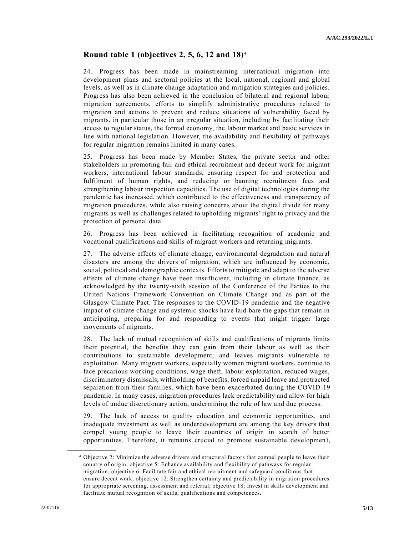# **Round table 1 (objectives 2, 5, 6, 12 and 18)**<sup>4</sup>

24. Progress has been made in mainstreaming international migration into development plans and sectoral policies at the local, national, regional and global levels, as well as in climate change adaptation and mitigation strategies and policies. Progress has also been achieved in the conclusion of bilateral and regional labour migration agreements, efforts to simplify administrative procedures related to migration and actions to prevent and reduce situations of vulnerability faced by migrants, in particular those in an irregular situation, including by facilitating their access to regular status, the formal economy, the labour market and basic services in line with national legislation. However, the availability and flexibility of pathways for regular migration remains limited in many cases.

25. Progress has been made by Member States, the private sector and other stakeholders in promoting fair and ethical recruitment and decent work for migrant workers, international labour standards, ensuring respect for and protection and fulfilment of human rights, and reducing or banning recruitment fees and strengthening labour inspection capacities. The use of digital technologies during the pandemic has increased, which contributed to the effectiveness and transparency of migration procedures, while also raising concerns about the digital divide for many migrants as well as challenges related to upholding migrants' right to privacy and the protection of personal data.

26. Progress has been achieved in facilitating recognition of academic and vocational qualifications and skills of migrant workers and returning migrants.

27. The adverse effects of climate change, environmental degradation and natural disasters are among the drivers of migration, which are influenced by economic, social, political and demographic contexts. Efforts to mitigate and adapt to the adverse effects of climate change have been insufficient, including in climate finance, as acknowledged by the twenty-sixth session of the Conference of the Parties to the United Nations Framework Convention on Climate Change and as part of the Glasgow Climate Pact. The responses to the COVID-19 pandemic and the negative impact of climate change and systemic shocks have laid bare the gaps that remain in anticipating, preparing for and responding to events that might trigger large movements of migrants.

28. The lack of mutual recognition of skills and qualifications of migrants limits their potential, the benefits they can gain from their labour as well as their contributions to sustainable development, and leaves migrants vulnerable to exploitation. Many migrant workers, especially women migrant workers, continue to face precarious working conditions, wage theft, labour exploitation, reduced wages, discriminatory dismissals, withholding of benefits, forced unpaid leave and protracted separation from their families, which have been exacerbated during the COVID-19 pandemic. In many cases, migration procedures lack predictability and allow for high levels of undue discretionary action, undermining the rule of law and due process.

29. The lack of access to quality education and economic opportunities, and inadequate investment as well as underdevelopment are among the key drivers that compel young people to leave their countries of origin in search of better opportunities. Therefore, it remains crucial to promote sustainable developmen t,

<sup>4</sup> Objective 2: Minimize the adverse drivers and structural factors that compel people to leave their country of origin; objective 5: Enhance availability and flexibility of pathways for regular migration; objective 6: Facilitate fair and ethical recruitment and safeguard conditions that ensure decent work; objective 12: Strengthen certainty and predictability in migration procedures for appropriate screening, assessment and referral; objective 18: Invest in skills development and facilitate mutual recognition of skills, qualifications and competences.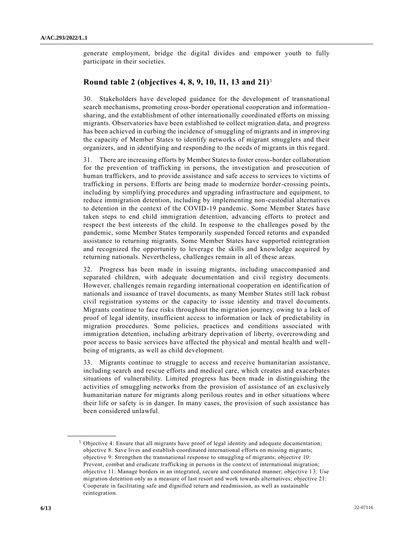generate employment, bridge the digital divides and empower youth to fully participate in their societies.

#### **Round table 2 (objectives 4, 8, 9, 10, 11, 13 and 21)**<sup>5</sup>

30. Stakeholders have developed guidance for the development of transnational search mechanisms, promoting cross-border operational cooperation and informationsharing, and the establishment of other internationally coordinated efforts on missing migrants. Observatories have been established to collect migration data, and progress has been achieved in curbing the incidence of smuggling of migrants and in improving the capacity of Member States to identify networks of migrant smugglers and their organizers, and in identifying and responding to the needs of migrants in this regard.

31. There are increasing efforts by Member States to foster cross-border collaboration for the prevention of trafficking in persons, the investigation and prosecution of human traffickers, and to provide assistance and safe access to services to victims of trafficking in persons. Efforts are being made to modernize border-crossing points, including by simplifying procedures and upgrading infrastructure and equipment, to reduce immigration detention, including by implementing non-custodial alternatives to detention in the context of the COVID-19 pandemic. Some Member States have taken steps to end child immigration detention, advancing efforts to protect and respect the best interests of the child. In response to the challenges posed by the pandemic, some Member States temporarily suspended forced returns and expanded assistance to returning migrants. Some Member States have supported reintegration and recognized the opportunity to leverage the skills and knowledge acquired by returning nationals. Nevertheless, challenges remain in all of these areas.

32. Progress has been made in issuing migrants, including unaccompanied and separated children, with adequate documentation and civil registry documents. However, challenges remain regarding international cooperation on identification of nationals and issuance of travel documents, as many Member States still lack robust civil registration systems or the capacity to issue identity and travel do cuments. Migrants continue to face risks throughout the migration journey, owing to a lack of proof of legal identity, insufficient access to information or lack of predictability in migration procedures. Some policies, practices and conditions associated with immigration detention, including arbitrary deprivation of liberty, overcrowding and poor access to basic services have affected the physical and mental health and wellbeing of migrants, as well as child development.

33. Migrants continue to struggle to access and receive humanitarian assistance, including search and rescue efforts and medical care, which creates and exacerbates situations of vulnerability. Limited progress has been made in distinguishing the activities of smuggling networks from the provision of assistance of an exclusively humanitarian nature for migrants along perilous routes and in other situations where their life or safety is in danger. In many cases, the provision of such assistance has been considered unlawful.

<sup>5</sup> Objective 4: Ensure that all migrants have proof of legal identity and adequate documentation; objective 8: Save lives and establish coordinated international efforts on missing migrants; objective 9: Strengthen the transnational response to smuggling of migrants; objective 10: Prevent, combat and eradicate trafficking in persons in the context of international migration; objective 11: Manage borders in an integrated, secure and coordinated manner; objective 1 3: Use migration detention only as a measure of last resort and work towards alternatives; objective 21: Cooperate in facilitating safe and dignified return and readmission, as well as sustainable reintegration.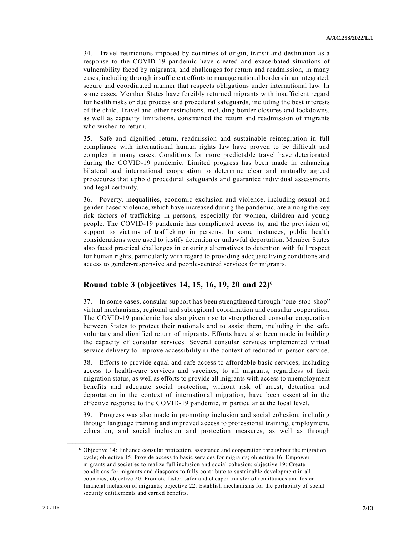34. Travel restrictions imposed by countries of origin, transit and destination as a response to the COVID-19 pandemic have created and exacerbated situations of vulnerability faced by migrants, and challenges for return and readmission, in many cases, including through insufficient efforts to manage national borders in an integrated, secure and coordinated manner that respects obligations under international law. In some cases, Member States have forcibly returned migrants with insufficient regard for health risks or due process and procedural safeguards, including the best interests of the child. Travel and other restrictions, including border closures and lockdowns, as well as capacity limitations, constrained the return and readmission of migrants who wished to return.

35. Safe and dignified return, readmission and sustainable reintegration in full compliance with international human rights law have proven to be difficult and complex in many cases. Conditions for more predictable travel have deteriorated during the COVID-19 pandemic. Limited progress has been made in enhancing bilateral and international cooperation to determine clear and mutually agreed procedures that uphold procedural safeguards and guarantee individual assessments and legal certainty.

36. Poverty, inequalities, economic exclusion and violence, including sexual and gender-based violence, which have increased during the pandemic, are among the key risk factors of trafficking in persons, especially for women, children and young people. The COVID-19 pandemic has complicated access to, and the provision of, support to victims of trafficking in persons. In some instances, public health considerations were used to justify detention or unlawful deportation. Member States also faced practical challenges in ensuring alternatives to detention with full respect for human rights, particularly with regard to providing adequate living conditions and access to gender-responsive and people-centred services for migrants.

### **Round table 3 (objectives 14, 15, 16, 19, 20 and 22)**<sup>6</sup>

37. In some cases, consular support has been strengthened through "one -stop-shop" virtual mechanisms, regional and subregional coordination and consular cooperation. The COVID-19 pandemic has also given rise to strengthened consular cooperation between States to protect their nationals and to assist them, including in the safe, voluntary and dignified return of migrants. Efforts have also been made in building the capacity of consular services. Several consular services implemented virtual service delivery to improve accessibility in the context of reduced in-person service.

38. Efforts to provide equal and safe access to affordable basic services, including access to health-care services and vaccines, to all migrants, regardless of their migration status, as well as efforts to provide all migrants with access to unemployment benefits and adequate social protection, without risk of arrest, detention and deportation in the context of international migration, have been essential in the effective response to the COVID-19 pandemic, in particular at the local level.

39. Progress was also made in promoting inclusion and social cohesion, including through language training and improved access to professional training, employment, education, and social inclusion and protection measures, as well as through

<sup>6</sup> Objective 14: Enhance consular protection, assistance and cooperation throughout the migration cycle; objective 15: Provide access to basic services for migrants; objective 16: Empower migrants and societies to realize full inclusion and social cohesion; objective 19: Create conditions for migrants and diasporas to fully contribute to sustainable development in all countries; objective 20: Promote faster, safer and cheaper transfer of remittances and foster financial inclusion of migrants; objective 22: Establish mechanisms for the portability of social security entitlements and earned benefits.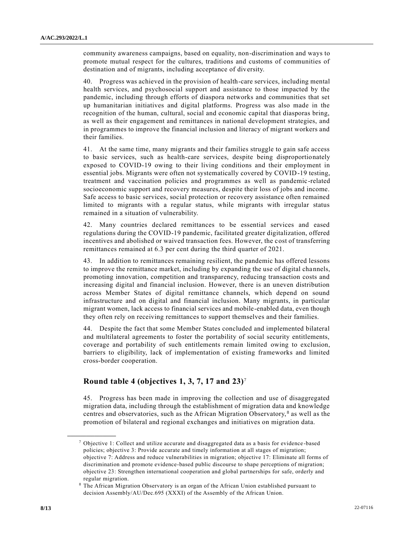community awareness campaigns, based on equality, non-discrimination and ways to promote mutual respect for the cultures, traditions and customs of communities of destination and of migrants, including acceptance of diversity.

40. Progress was achieved in the provision of health-care services, including mental health services, and psychosocial support and assistance to those impacted by the pandemic, including through efforts of diaspora networks and communities that set up humanitarian initiatives and digital platforms. Progress was also made in the recognition of the human, cultural, social and economic capital that diasporas bring, as well as their engagement and remittances in national development strategies, and in programmes to improve the financial inclusion and literacy of migrant workers and their families.

41. At the same time, many migrants and their families struggle to gain safe access to basic services, such as health-care services, despite being disproportionately exposed to COVID-19 owing to their living conditions and their employment in essential jobs. Migrants were often not systematically covered by COVID-19 testing, treatment and vaccination policies and programmes as well as pandemic -related socioeconomic support and recovery measures, despite their loss of jobs and income. Safe access to basic services, social protection or recovery assistance often remained limited to migrants with a regular status, while migrants with irregular status remained in a situation of vulnerability.

42. Many countries declared remittances to be essential services and eased regulations during the COVID-19 pandemic, facilitated greater digitalization, offered incentives and abolished or waived transaction fees. However, the cost of transferring remittances remained at 6.3 per cent during the third quarter of 2021.

43. In addition to remittances remaining resilient, the pandemic has offered lessons to improve the remittance market, including by expanding the use of digital channels, promoting innovation, competition and transparency, reducing transaction costs and increasing digital and financial inclusion. However, there is an uneven distribution across Member States of digital remittance channels, which depend on sound infrastructure and on digital and financial inclusion. Many migrants, in particular migrant women, lack access to financial services and mobile-enabled data, even though they often rely on receiving remittances to support themselves and their families.

44. Despite the fact that some Member States concluded and implemented bilateral and multilateral agreements to foster the portability of social security entitlements, coverage and portability of such entitlements remain limited owing to exclusion, barriers to eligibility, lack of implementation of existing frameworks and limited cross-border cooperation.

### **Round table 4 (objectives 1, 3, 7, 17 and 23)**<sup>7</sup>

45. Progress has been made in improving the collection and use of disaggregated migration data, including through the establishment of migration data and knowledge centres and observatories, such as the African Migration Observatory,<sup>8</sup> as well as the promotion of bilateral and regional exchanges and initiatives on migration data.

<sup>7</sup> Objective 1: Collect and utilize accurate and disaggregated data as a basis for evidence -based policies; objective 3: Provide accurate and timely information at all stages of migration; objective 7: Address and reduce vulnerabilities in migration; objective 17: Eliminate all forms of discrimination and promote evidence-based public discourse to shape perceptions of migration; objective 23: Strengthen international cooperation and global partnerships for safe, orderly and regular migration.

The African Migration Observatory is an organ of the African Union established pursuant to decision Assembly/AU/Dec.695 (XXXI) of the Assembly of the African Union.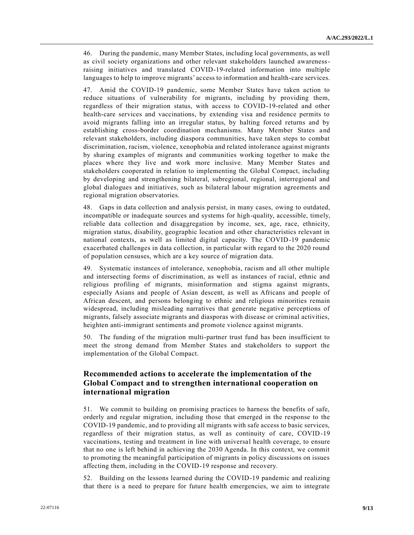46. During the pandemic, many Member States, including local governments, as well as civil society organizations and other relevant stakeholders launched awarenessraising initiatives and translated COVID-19-related information into multiple languages to help to improve migrants' access to information and health-care services.

47. Amid the COVID-19 pandemic, some Member States have taken action to reduce situations of vulnerability for migrants, including by providing them, regardless of their migration status, with access to COVID-19-related and other health-care services and vaccinations, by extending visa and residence permits to avoid migrants falling into an irregular status, by halting forced returns and by establishing cross-border coordination mechanisms. Many Member States and relevant stakeholders, including diaspora communities, have taken steps to combat discrimination, racism, violence, xenophobia and related intolerance against migrants by sharing examples of migrants and communities working together to make the places where they live and work more inclusive. Many Member States and stakeholders cooperated in relation to implementing the Global Compact, including by developing and strengthening bilateral, subregional, regional, interregional and global dialogues and initiatives, such as bilateral labour migration agreements and regional migration observatories.

48. Gaps in data collection and analysis persist, in many cases, owing to outdated, incompatible or inadequate sources and systems for high-quality, accessible, timely, reliable data collection and disaggregation by income, sex, age, race, ethnicity, migration status, disability, geographic location and other characteristics relevant in national contexts, as well as limited digital capacity. The COVID-19 pandemic exacerbated challenges in data collection, in particular with regard to the 2020 round of population censuses, which are a key source of migration data.

49. Systematic instances of intolerance, xenophobia, racism and all other multiple and intersecting forms of discrimination, as well as instances of racial, ethnic and religious profiling of migrants, misinformation and stigma against migrants, especially Asians and people of Asian descent, as well as Africans and people of African descent, and persons belonging to ethnic and religious minorities remain widespread, including misleading narratives that generate negative perceptions of migrants, falsely associate migrants and diasporas with disease or criminal activities, heighten anti-immigrant sentiments and promote violence against migrants.

50. The funding of the migration multi-partner trust fund has been insufficient to meet the strong demand from Member States and stakeholders to support the implementation of the Global Compact.

## **Recommended actions to accelerate the implementation of the Global Compact and to strengthen international cooperation on international migration**

51. We commit to building on promising practices to harness the benefits of safe, orderly and regular migration, including those that emerged in the response to the COVID-19 pandemic, and to providing all migrants with safe access to basic services, regardless of their migration status, as well as continuity of care, COVID-19 vaccinations, testing and treatment in line with universal health coverage, to ensure that no one is left behind in achieving the 2030 Agenda. In this context, we commit to promoting the meaningful participation of migrants in policy discussions on issues affecting them, including in the COVID-19 response and recovery.

52. Building on the lessons learned during the COVID-19 pandemic and realizing that there is a need to prepare for future health emergencies, we aim to integrate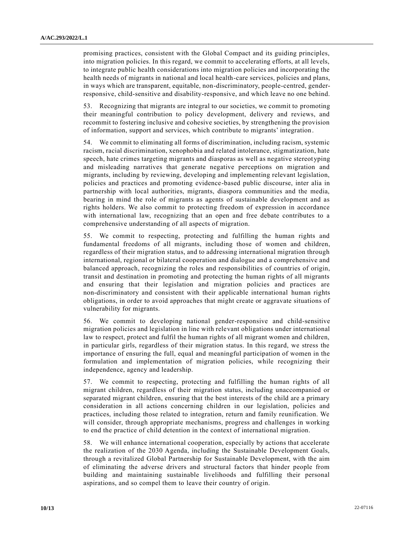promising practices, consistent with the Global Compact and its guiding principles, into migration policies. In this regard, we commit to accelerating efforts, at all levels, to integrate public health considerations into migration policies and incorporating the health needs of migrants in national and local health-care services, policies and plans, in ways which are transparent, equitable, non-discriminatory, people-centred, genderresponsive, child-sensitive and disability-responsive, and which leave no one behind.

53. Recognizing that migrants are integral to our societies, we commit to promoting their meaningful contribution to policy development, delivery and reviews, and recommit to fostering inclusive and cohesive societies, by strengthening the provision of information, support and services, which contribute to migrants' integration.

54. We commit to eliminating all forms of discrimination, including racism, systemic racism, racial discrimination, xenophobia and related intolerance, stigmatization, hate speech, hate crimes targeting migrants and diasporas as well as negative stereotyping and misleading narratives that generate negative perceptions on migration and migrants, including by reviewing, developing and implementing relevant legislation, policies and practices and promoting evidence-based public discourse, inter alia in partnership with local authorities, migrants, diaspora communities and the media, bearing in mind the role of migrants as agents of sustainable development and as rights holders. We also commit to protecting freedom of expression in accordance with international law, recognizing that an open and free debate contributes to a comprehensive understanding of all aspects of migration.

55. We commit to respecting, protecting and fulfilling the human rights and fundamental freedoms of all migrants, including those of women and children, regardless of their migration status, and to addressing international migration through international, regional or bilateral cooperation and dialogue and a comprehensive and balanced approach, recognizing the roles and responsibilities of countries of origin, transit and destination in promoting and protecting the human rights of all migrants and ensuring that their legislation and migration policies and practices are non-discriminatory and consistent with their applicable international human rights obligations, in order to avoid approaches that might create or aggravate situations of vulnerability for migrants.

56. We commit to developing national gender-responsive and child-sensitive migration policies and legislation in line with relevant obligations under international law to respect, protect and fulfil the human rights of all migrant women and children, in particular girls, regardless of their migration status. In this regard, we stress the importance of ensuring the full, equal and meaningful participation of women in the formulation and implementation of migration policies, while recognizing their independence, agency and leadership.

57. We commit to respecting, protecting and fulfilling the human rights of all migrant children, regardless of their migration status, including unaccompanied or separated migrant children, ensuring that the best interests of the child are a primary consideration in all actions concerning children in our legislation, policies and practices, including those related to integration, return and family reunification. We will consider, through appropriate mechanisms, progress and challenges in working to end the practice of child detention in the context of international migration.

58. We will enhance international cooperation, especially by actions that accelerate the realization of the 2030 Agenda, including the Sustainable Development Goals, through a revitalized Global Partnership for Sustainable Development, with the aim of eliminating the adverse drivers and structural factors that hinder people from building and maintaining sustainable livelihoods and fulfilling their personal aspirations, and so compel them to leave their country of origin.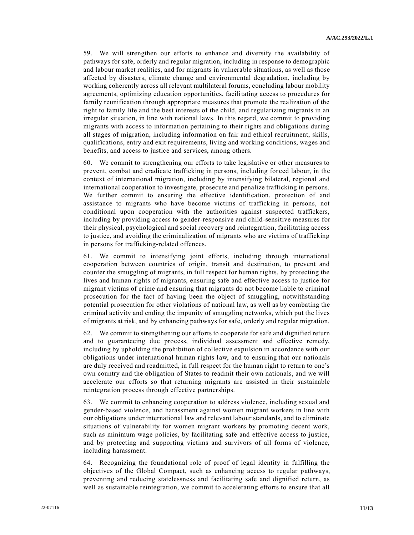59. We will strengthen our efforts to enhance and diversify the availability of pathways for safe, orderly and regular migration, including in response to demographic and labour market realities, and for migrants in vulnerable situations, as well as those affected by disasters, climate change and environmental degradation, including by working coherently across all relevant multilateral forums, concluding labour mobility agreements, optimizing education opportunities, facilitating access to procedures for family reunification through appropriate measures that promote the realization of the right to family life and the best interests of the child, and regularizing migrants in an irregular situation, in line with national laws. In this regard, we commit to providing migrants with access to information pertaining to their rights and obligations during all stages of migration, including information on fair and ethical recruitment, skills, qualifications, entry and exit requirements, living and working conditions, wages and benefits, and access to justice and services, among others.

60. We commit to strengthening our efforts to take legislative or other measures to prevent, combat and eradicate trafficking in persons, including forced labour, in the context of international migration, including by intensifying bilateral, regional and international cooperation to investigate, prosecute and penalize trafficking in persons. We further commit to ensuring the effective identification, protection of and assistance to migrants who have become victims of trafficking in persons, not conditional upon cooperation with the authorities against suspected traffickers, including by providing access to gender-responsive and child-sensitive measures for their physical, psychological and social recovery and reintegration, facilitating access to justice, and avoiding the criminalization of migrants who are victims of trafficking in persons for trafficking-related offences.

61. We commit to intensifying joint efforts, including through international cooperation between countries of origin, transit and destination, to prevent and counter the smuggling of migrants, in full respect for human rights, by protecting the lives and human rights of migrants, ensuring safe and effective access to justice for migrant victims of crime and ensuring that migrants do not become liable to criminal prosecution for the fact of having been the object of smuggling, notwithstanding potential prosecution for other violations of national law, as well as by combating the criminal activity and ending the impunity of smuggling networks, which put the lives of migrants at risk, and by enhancing pathways for safe, orderly and regular migration.

62. We commit to strengthening our efforts to cooperate for safe and dignified return and to guaranteeing due process, individual assessment and effective remedy, including by upholding the prohibition of collective expulsion in accordance with our obligations under international human rights law, and to ensuring that our nationals are duly received and readmitted, in full respect for the human right to return to one's own country and the obligation of States to readmit their own nationals, and we will accelerate our efforts so that returning migrants are assisted in their sustainable reintegration process through effective partnerships.

63. We commit to enhancing cooperation to address violence, including sexual and gender-based violence, and harassment against women migrant workers in line with our obligations under international law and relevant labour standards, and to eliminate situations of vulnerability for women migrant workers by promoting decent work, such as minimum wage policies, by facilitating safe and effective access to justice, and by protecting and supporting victims and survivors of all forms of violence, including harassment.

64. Recognizing the foundational role of proof of legal identity in fulfilling the objectives of the Global Compact, such as enhancing access to regular pathways, preventing and reducing statelessness and facilitating safe and dignified return, as well as sustainable reintegration, we commit to accelerating efforts to ensure that all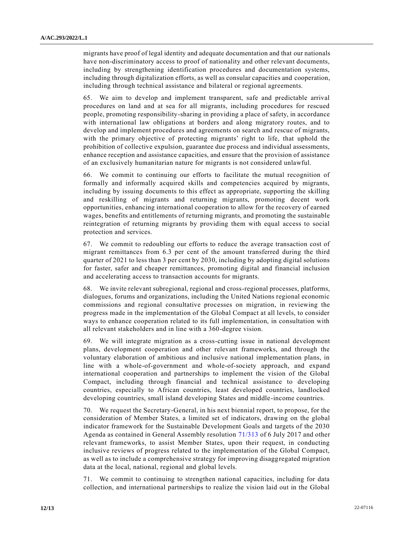migrants have proof of legal identity and adequate documentation and that our nationals have non-discriminatory access to proof of nationality and other relevant documents, including by strengthening identification procedures and documentation systems, including through digitalization efforts, as well as consular capacities and cooperation, including through technical assistance and bilateral or regional agreements.

65. We aim to develop and implement transparent, safe and predictable arrival procedures on land and at sea for all migrants, including procedures for rescued people, promoting responsibility-sharing in providing a place of safety, in accordance with international law obligations at borders and along migratory routes, and to develop and implement procedures and agreements on search and rescue of migrants, with the primary objective of protecting migrants' right to life, that uphold the prohibition of collective expulsion, guarantee due process and individual assessments, enhance reception and assistance capacities, and ensure that the provision of assistance of an exclusively humanitarian nature for migrants is not considered unlawful.

66. We commit to continuing our efforts to facilitate the mutual recognition of formally and informally acquired skills and competencies acquired by migrants, including by issuing documents to this effect as appropriate, supporting the skilling and reskilling of migrants and returning migrants, promoting decent work opportunities, enhancing international cooperation to allow for the recovery of earned wages, benefits and entitlements of returning migrants, and promoting the sustainable reintegration of returning migrants by providing them with equal access to social protection and services.

67. We commit to redoubling our efforts to reduce the average transaction cost of migrant remittances from 6.3 per cent of the amount transferred during the third quarter of 2021 to less than 3 per cent by 2030, including by adopting digital solutions for faster, safer and cheaper remittances, promoting digital and financial inclusion and accelerating access to transaction accounts for migrants.

68. We invite relevant subregional, regional and cross-regional processes, platforms, dialogues, forums and organizations, including the United Nations regional economic commissions and regional consultative processes on migration, in reviewing the progress made in the implementation of the Global Compact at all levels, to consider ways to enhance cooperation related to its full implementation, in consultation with all relevant stakeholders and in line with a 360-degree vision.

69. We will integrate migration as a cross-cutting issue in national development plans, development cooperation and other relevant frameworks, and through the voluntary elaboration of ambitious and inclusive national implementation plans, in line with a whole-of-government and whole-of-society approach, and expand international cooperation and partnerships to implement the vision of the Global Compact, including through financial and technical assistance to developing countries, especially to African countries, least developed countries, landlocked developing countries, small island developing States and middle-income countries.

70. We request the Secretary-General, in his next biennial report, to propose, for the consideration of Member States, a limited set of indicators, drawing on the global indicator framework for the Sustainable Development Goals and targets of the 2030 Agenda as contained in General Assembly resolution [71/313](https://undocs.org/en/A/RES/71/313) of 6 July 2017 and other relevant frameworks, to assist Member States, upon their request, in conducting inclusive reviews of progress related to the implementation of the Global Compact, as well as to include a comprehensive strategy for improving disaggregated migration data at the local, national, regional and global levels.

71. We commit to continuing to strengthen national capacities, including for data collection, and international partnerships to realize the vision laid out in the Global